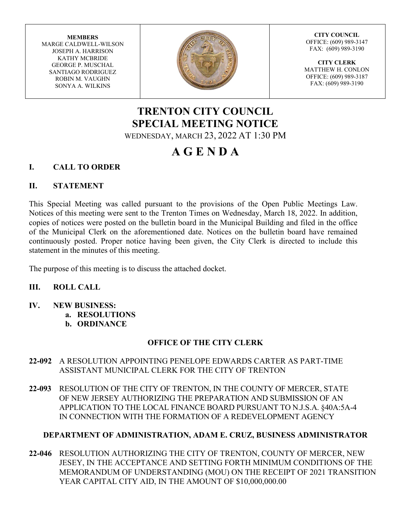**MEMBERS** MARGE CALDWELL-WILSON JOSEPH A. HARRISON KATHY MCBRIDE GEORGE P. MUSCHAL SANTIAGO RODRIGUEZ ROBIN M. VAUGHN SONYA A. WILKINS



**CITY COUNCIL** OFFICE: (609) 989-3147 FAX: (609) 989-3190

**CITY CLERK** MATTHEW H. CONLON OFFICE: (609) 989-3187 FAX: (609) 989-3190

# **TRENTON CITY COUNCIL SPECIAL MEETING NOTICE** WEDNESDAY, MARCH 23, 2022 AT 1:30 PM

# **A G E N D A**

# **I. CALL TO ORDER**

## **II. STATEMENT**

This Special Meeting was called pursuant to the provisions of the Open Public Meetings Law. Notices of this meeting were sent to the Trenton Times on Wednesday, March 18, 2022. In addition, copies of notices were posted on the bulletin board in the Municipal Building and filed in the office of the Municipal Clerk on the aforementioned date. Notices on the bulletin board have remained continuously posted. Proper notice having been given, the City Clerk is directed to include this statement in the minutes of this meeting.

The purpose of this meeting is to discuss the attached docket.

# **III. ROLL CALL**

- **IV. NEW BUSINESS:**
	- **a. RESOLUTIONS**
	- **b. ORDINANCE**

# **OFFICE OF THE CITY CLERK**

- **22-092** A RESOLUTION APPOINTING PENELOPE EDWARDS CARTER AS PART-TIME ASSISTANT MUNICIPAL CLERK FOR THE CITY OF TRENTON
- **22-093** RESOLUTION OF THE CITY OF TRENTON, IN THE COUNTY OF MERCER, STATE OF NEW JERSEY AUTHORIZING THE PREPARATION AND SUBMISSION OF AN APPLICATION TO THE LOCAL FINANCE BOARD PURSUANT TO N.J.S.A. §40A:5A-4 IN CONNECTION WITH THE FORMATION OF A REDEVELOPMENT AGENCY

# **DEPARTMENT OF ADMINISTRATION, ADAM E. CRUZ, BUSINESS ADMINISTRATOR**

**22-046** RESOLUTION AUTHORIZING THE CITY OF TRENTON, COUNTY OF MERCER, NEW JESEY, IN THE ACCEPTANCE AND SETTING FORTH MINIMUM CONDITIONS OF THE MEMORANDUM OF UNDERSTANDING (MOU) ON THE RECEIPT OF 2021 TRANSITION YEAR CAPITAL CITY AID, IN THE AMOUNT OF \$10,000,000.00